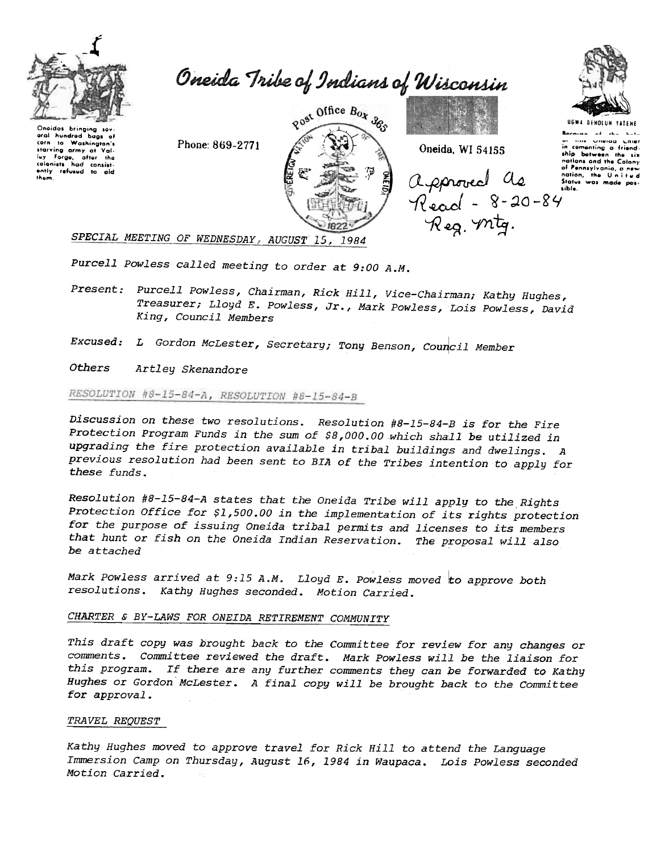

Oneida Tribe of Indians of Wisconsin

Onaidas brinaina sov oral hundred bags of Washington's to starving army at Fraising army at Yai-<br>luy Forge, after the<br>colonists had consist-<br>ently refused to aid them

Phone: 869-2771



Oneida, WI 54155

approved de :<br>Read - 8-20-84<br>Reg. mtg.

**UGWA DENOLUN YATEMI** me Unenan . nied in comenting a friend ship botween the six nations and the Colony of Pennsylvania, a nev nation, the United<br>Status was made possible.

SPECIAL MEETING OF WEDNESDAY, AUGUST 15, 1984

Purcell Powless called meeting to order at 9:00 A.M.

Present: Purcell Powless, Chairman, Rick Hill, Vice-Chairman; Kathy Hughes, Treasurer; Lloyd E. Powless, Jr., Mark Powless, Lois Powless, David King, Council Members

Excused: L Gordon McLester, Secretary; Tony Benson, Council Member

**Others** Artley Skenandore

# RESOLUTION #8-15-84-A, RESOLUTION #8-15-84-B

Discussion on these two resolutions. Resolution #8-15-84-B is for the Fire Protection Program Funds in the sum of \$8,000.00 which shall be utilized in upgrading the fire protection available in tribal buildings and dwelings. A previous resolution had been sent to BIA of the Tribes intention to apply for these funds.

Resolution #8-15-84-A states that the Oneida Tribe will apply to the Rights Protection Office for \$1,500.00 in the implementation of its rights protection for the purpose of issuing Oneida tribal permits and licenses to its members that hunt or fish on the Oneida Indian Reservation. The proposal will also be attached

Mark Powless arrived at 9:15 A.M. Lloyd E. Powless moved to approve both resolutions. Kathy Hughes seconded. Motion Carried.

## CHARTER & BY-LAWS FOR ONEIDA RETIREMENT COMMUNITY

This draft copy was brought back to the Committee for review for any changes or comments. Committee reviewed the draft. Mark Powless will be the liaison for this program. If there are any further comments they can be forwarded to Kathy Hughes or Gordon McLester. A final copy will be brought back to the Committee for approval.

## *TRAVEL REQUEST*

Kathy Hughes moved to approve travel for Rick Hill to attend the Language Immersion Camp on Thursday, August 16, 1984 in Waupaca. Lois Powless seconded Motion Carried.